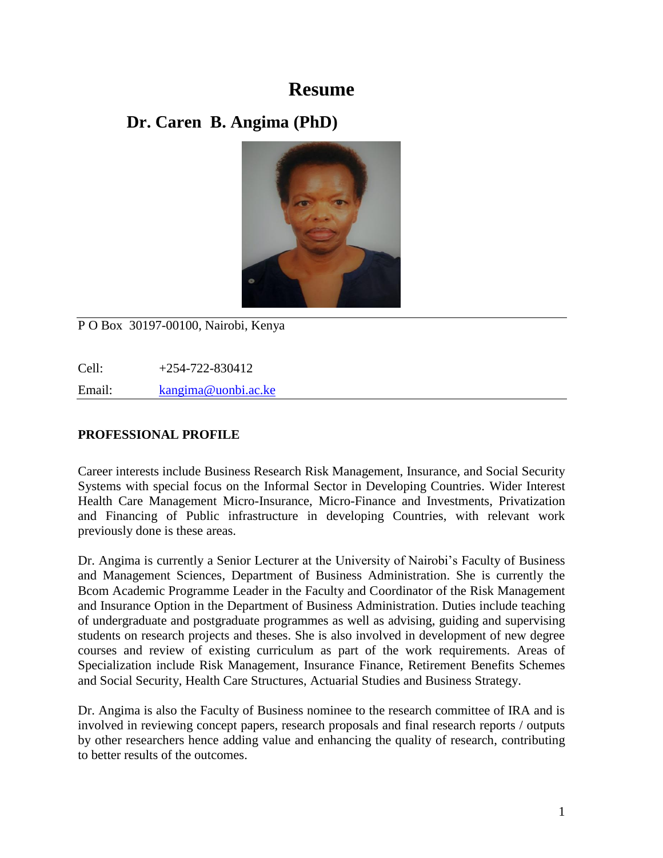# **Resume**

# **Dr. Caren B. Angima (PhD)**



P O Box 30197-00100, Nairobi, Kenya

Cell: +254-722-830412 Email: [kangima@uonbi.ac.ke](mailto:kangima@uonbi.ac.ke)

# **PROFESSIONAL PROFILE**

Career interests include Business Research Risk Management, Insurance, and Social Security Systems with special focus on the Informal Sector in Developing Countries. Wider Interest Health Care Management Micro-Insurance, Micro-Finance and Investments, Privatization and Financing of Public infrastructure in developing Countries, with relevant work previously done is these areas.

Dr. Angima is currently a Senior Lecturer at the University of Nairobi's Faculty of Business and Management Sciences, Department of Business Administration. She is currently the Bcom Academic Programme Leader in the Faculty and Coordinator of the Risk Management and Insurance Option in the Department of Business Administration. Duties include teaching of undergraduate and postgraduate programmes as well as advising, guiding and supervising students on research projects and theses. She is also involved in development of new degree courses and review of existing curriculum as part of the work requirements. Areas of Specialization include Risk Management, Insurance Finance, Retirement Benefits Schemes and Social Security, Health Care Structures, Actuarial Studies and Business Strategy.

Dr. Angima is also the Faculty of Business nominee to the research committee of IRA and is involved in reviewing concept papers, research proposals and final research reports / outputs by other researchers hence adding value and enhancing the quality of research, contributing to better results of the outcomes.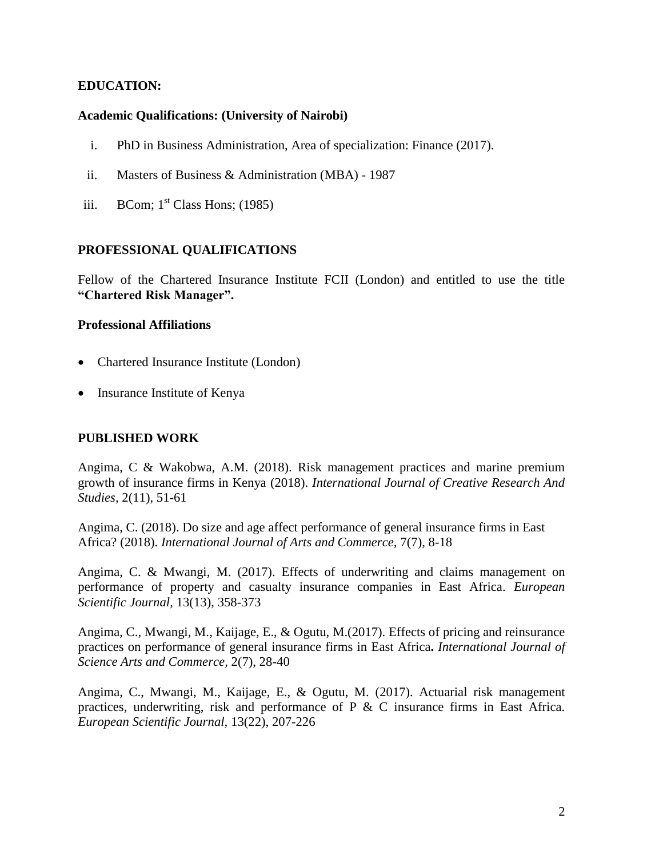#### **EDUCATION:**

#### **Academic Qualifications: (University of Nairobi)**

- i. PhD in Business Administration, Area of specialization: Finance (2017).
- ii. Masters of Business & Administration (MBA) 1987
- iii. BCom;  $1<sup>st</sup> Class Hons$ ; (1985)

#### **PROFESSIONAL QUALIFICATIONS**

Fellow of the Chartered Insurance Institute FCII (London) and entitled to use the title **"Chartered Risk Manager".**

#### **Professional Affiliations**

- Chartered Insurance Institute (London)
- Insurance Institute of Kenya

#### **PUBLISHED WORK**

Angima, C & Wakobwa, A.M. (2018). Risk management practices and marine premium growth of insurance firms in Kenya (2018). *International Journal of Creative Research And Studies,* 2(11), 51-61

Angima, C. (2018). Do size and age affect performance of general insurance firms in East Africa? (2018). *International Journal of Arts and Commerce,* 7(7), 8-18

Angima, C. & Mwangi, M. (2017). Effects of underwriting and claims management on performance of property and casualty insurance companies in East Africa. *European Scientific Journal,* 13(13), 358-373

Angima, C., Mwangi, M., Kaijage, E., & Ogutu, M.(2017). Effects of pricing and reinsurance practices on performance of general insurance firms in East Africa**.** *International Journal of Science Arts and Commerce,* 2(7), 28-40

Angima, C., Mwangi, M., Kaijage, E., & Ogutu, M. (2017). Actuarial risk management practices, underwriting, risk and performance of P & C insurance firms in East Africa. *European Scientific Journal,* 13(22), 207-226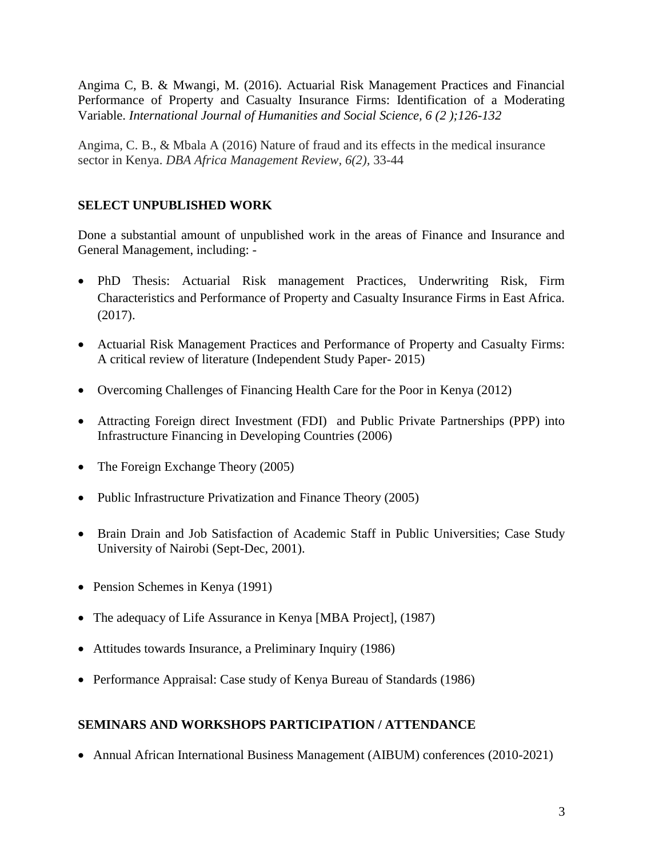Angima C, B. & Mwangi, M. (2016). Actuarial Risk Management Practices and Financial Performance of Property and Casualty Insurance Firms: Identification of a Moderating Variable. *International Journal of Humanities and Social Science, 6 (2 );126-132*

Angima, C. B., & Mbala A (2016) Nature of fraud and its effects in the medical insurance sector in Kenya. *DBA Africa Management Review, 6(2),* 33-44

# **SELECT UNPUBLISHED WORK**

Done a substantial amount of unpublished work in the areas of Finance and Insurance and General Management, including: -

- PhD Thesis: Actuarial Risk management Practices, Underwriting Risk, Firm Characteristics and Performance of Property and Casualty Insurance Firms in East Africa. (2017).
- Actuarial Risk Management Practices and Performance of Property and Casualty Firms: A critical review of literature (Independent Study Paper- 2015)
- Overcoming Challenges of Financing Health Care for the Poor in Kenya (2012)
- Attracting Foreign direct Investment (FDI) and Public Private Partnerships (PPP) into Infrastructure Financing in Developing Countries (2006)
- The Foreign Exchange Theory (2005)
- Public Infrastructure Privatization and Finance Theory (2005)
- Brain Drain and Job Satisfaction of Academic Staff in Public Universities; Case Study University of Nairobi (Sept-Dec, 2001).
- Pension Schemes in Kenya (1991)
- The adequacy of Life Assurance in Kenya [MBA Project], (1987)
- Attitudes towards Insurance, a Preliminary Inquiry (1986)
- Performance Appraisal: Case study of Kenya Bureau of Standards (1986)

# **SEMINARS AND WORKSHOPS PARTICIPATION / ATTENDANCE**

• Annual African International Business Management (AIBUM) conferences (2010-2021)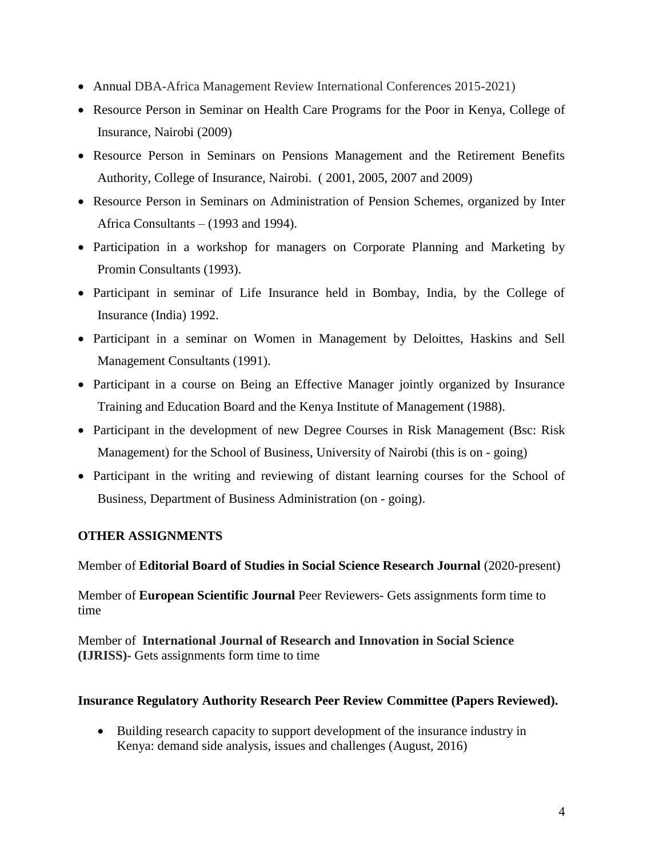- Annual DBA-Africa Management Review International Conferences 2015-2021)
- Resource Person in Seminar on Health Care Programs for the Poor in Kenya, College of Insurance, Nairobi (2009)
- Resource Person in Seminars on Pensions Management and the Retirement Benefits Authority, College of Insurance, Nairobi. ( 2001, 2005, 2007 and 2009)
- Resource Person in Seminars on Administration of Pension Schemes, organized by Inter Africa Consultants – (1993 and 1994).
- Participation in a workshop for managers on Corporate Planning and Marketing by Promin Consultants (1993).
- Participant in seminar of Life Insurance held in Bombay, India, by the College of Insurance (India) 1992.
- Participant in a seminar on Women in Management by Deloittes, Haskins and Sell Management Consultants (1991).
- Participant in a course on Being an Effective Manager jointly organized by Insurance Training and Education Board and the Kenya Institute of Management (1988).
- Participant in the development of new Degree Courses in Risk Management (Bsc: Risk Management) for the School of Business, University of Nairobi (this is on - going)
- Participant in the writing and reviewing of distant learning courses for the School of Business, Department of Business Administration (on - going).

# **OTHER ASSIGNMENTS**

Member of **Editorial Board of Studies in Social Science Research Journal** (2020-present)

Member of **European Scientific Journal** Peer Reviewers- Gets assignments form time to time

Member of **International Journal of Research and Innovation in Social Science (IJRISS)-** Gets assignments form time to time

### **Insurance Regulatory Authority Research Peer Review Committee (Papers Reviewed).**

 Building research capacity to support development of the insurance industry in Kenya: demand side analysis, issues and challenges (August, 2016)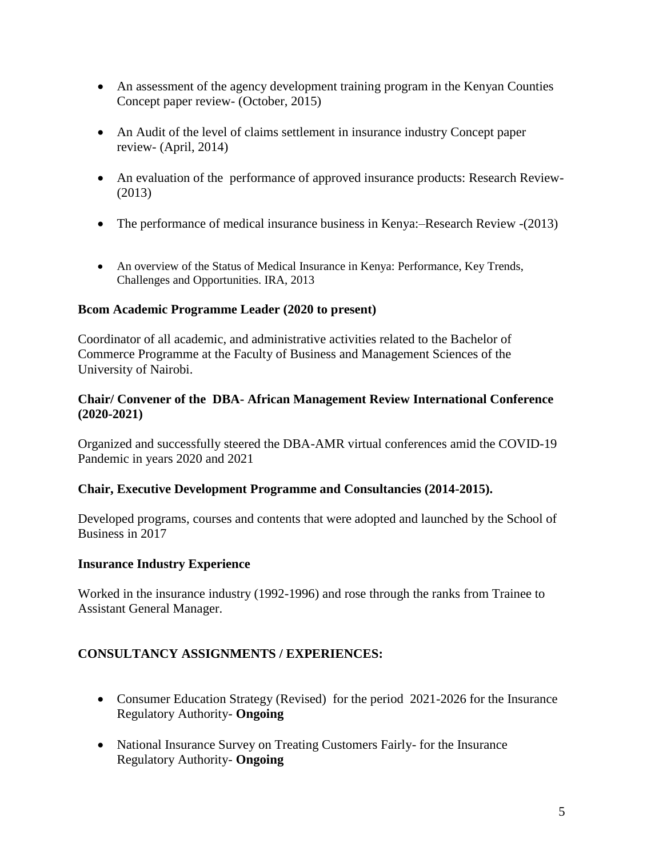- An assessment of the agency development training program in the Kenyan Counties Concept paper review- (October, 2015)
- An Audit of the level of claims settlement in insurance industry Concept paper review- (April, 2014)
- An evaluation of the performance of approved insurance products: Research Review- (2013)
- The performance of medical insurance business in Kenya:-Research Review -(2013)
- An overview of the Status of Medical Insurance in Kenya: Performance, Key Trends, Challenges and Opportunities. IRA, 2013

### **Bcom Academic Programme Leader (2020 to present)**

Coordinator of all academic, and administrative activities related to the Bachelor of Commerce Programme at the Faculty of Business and Management Sciences of the University of Nairobi.

#### **Chair/ Convener of the DBA- African Management Review International Conference (2020-2021)**

Organized and successfully steered the DBA-AMR virtual conferences amid the COVID-19 Pandemic in years 2020 and 2021

### **Chair, Executive Development Programme and Consultancies (2014-2015).**

Developed programs, courses and contents that were adopted and launched by the School of Business in 2017

### **Insurance Industry Experience**

Worked in the insurance industry (1992-1996) and rose through the ranks from Trainee to Assistant General Manager.

# **CONSULTANCY ASSIGNMENTS / EXPERIENCES:**

- Consumer Education Strategy (Revised) for the period 2021-2026 for the Insurance Regulatory Authority- **Ongoing**
- National Insurance Survey on Treating Customers Fairly- for the Insurance Regulatory Authority- **Ongoing**